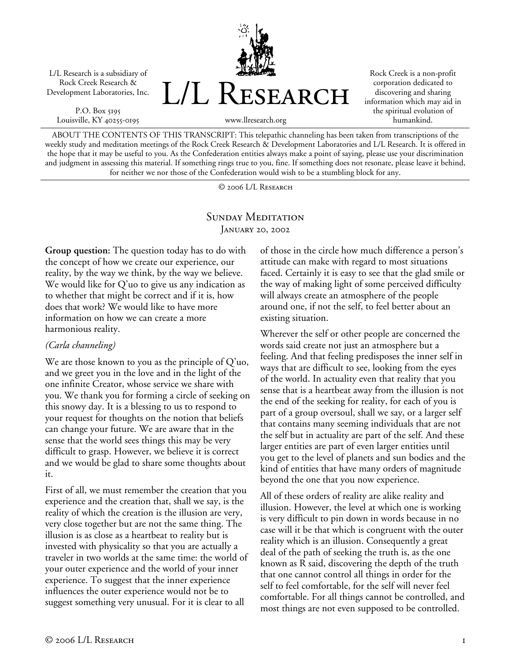L/L Research is a subsidiary of Rock Creek Research & Development Laboratories, Inc.

P.O. Box 5195 Louisville, KY 40255-0195



Rock Creek is a non-profit corporation dedicated to discovering and sharing information which may aid in the spiritual evolution of humankind.

ABOUT THE CONTENTS OF THIS TRANSCRIPT: This telepathic channeling has been taken from transcriptions of the weekly study and meditation meetings of the Rock Creek Research & Development Laboratories and L/L Research. It is offered in the hope that it may be useful to you. As the Confederation entities always make a point of saying, please use your discrimination and judgment in assessing this material. If something rings true to you, fine. If something does not resonate, please leave it behind, for neither we nor those of the Confederation would wish to be a stumbling block for any.

© 2006 L/L Research

## SUNDAY MEDITATION January 20, 2002

**Group question:** The question today has to do with the concept of how we create our experience, our reality, by the way we think, by the way we believe. We would like for Q'uo to give us any indication as to whether that might be correct and if it is, how does that work? We would like to have more information on how we can create a more harmonious reality.

## *(Carla channeling)*

We are those known to you as the principle of Q'uo, and we greet you in the love and in the light of the one infinite Creator, whose service we share with you. We thank you for forming a circle of seeking on this snowy day. It is a blessing to us to respond to your request for thoughts on the notion that beliefs can change your future. We are aware that in the sense that the world sees things this may be very difficult to grasp. However, we believe it is correct and we would be glad to share some thoughts about it.

First of all, we must remember the creation that you experience and the creation that, shall we say, is the reality of which the creation is the illusion are very, very close together but are not the same thing. The illusion is as close as a heartbeat to reality but is invested with physicality so that you are actually a traveler in two worlds at the same time: the world of your outer experience and the world of your inner experience. To suggest that the inner experience influences the outer experience would not be to suggest something very unusual. For it is clear to all

of those in the circle how much difference a person's attitude can make with regard to most situations faced. Certainly it is easy to see that the glad smile or the way of making light of some perceived difficulty will always create an atmosphere of the people around one, if not the self, to feel better about an existing situation.

Wherever the self or other people are concerned the words said create not just an atmosphere but a feeling. And that feeling predisposes the inner self in ways that are difficult to see, looking from the eyes of the world. In actuality even that reality that you sense that is a heartbeat away from the illusion is not the end of the seeking for reality, for each of you is part of a group oversoul, shall we say, or a larger self that contains many seeming individuals that are not the self but in actuality are part of the self. And these larger entities are part of even larger entities until you get to the level of planets and sun bodies and the kind of entities that have many orders of magnitude beyond the one that you now experience.

All of these orders of reality are alike reality and illusion. However, the level at which one is working is very difficult to pin down in words because in no case will it be that which is congruent with the outer reality which is an illusion. Consequently a great deal of the path of seeking the truth is, as the one known as R said, discovering the depth of the truth that one cannot control all things in order for the self to feel comfortable, for the self will never feel comfortable. For all things cannot be controlled, and most things are not even supposed to be controlled.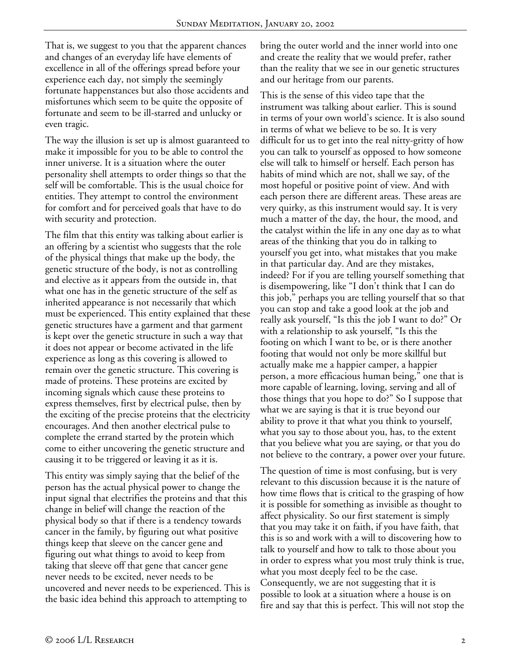That is, we suggest to you that the apparent chances and changes of an everyday life have elements of excellence in all of the offerings spread before your experience each day, not simply the seemingly fortunate happenstances but also those accidents and misfortunes which seem to be quite the opposite of fortunate and seem to be ill-starred and unlucky or even tragic.

The way the illusion is set up is almost guaranteed to make it impossible for you to be able to control the inner universe. It is a situation where the outer personality shell attempts to order things so that the self will be comfortable. This is the usual choice for entities. They attempt to control the environment for comfort and for perceived goals that have to do with security and protection.

The film that this entity was talking about earlier is an offering by a scientist who suggests that the role of the physical things that make up the body, the genetic structure of the body, is not as controlling and elective as it appears from the outside in, that what one has in the genetic structure of the self as inherited appearance is not necessarily that which must be experienced. This entity explained that these genetic structures have a garment and that garment is kept over the genetic structure in such a way that it does not appear or become activated in the life experience as long as this covering is allowed to remain over the genetic structure. This covering is made of proteins. These proteins are excited by incoming signals which cause these proteins to express themselves, first by electrical pulse, then by the exciting of the precise proteins that the electricity encourages. And then another electrical pulse to complete the errand started by the protein which come to either uncovering the genetic structure and causing it to be triggered or leaving it as it is.

This entity was simply saying that the belief of the person has the actual physical power to change the input signal that electrifies the proteins and that this change in belief will change the reaction of the physical body so that if there is a tendency towards cancer in the family, by figuring out what positive things keep that sleeve on the cancer gene and figuring out what things to avoid to keep from taking that sleeve off that gene that cancer gene never needs to be excited, never needs to be uncovered and never needs to be experienced. This is the basic idea behind this approach to attempting to

bring the outer world and the inner world into one and create the reality that we would prefer, rather than the reality that we see in our genetic structures and our heritage from our parents.

This is the sense of this video tape that the instrument was talking about earlier. This is sound in terms of your own world's science. It is also sound in terms of what we believe to be so. It is very difficult for us to get into the real nitty-gritty of how you can talk to yourself as opposed to how someone else will talk to himself or herself. Each person has habits of mind which are not, shall we say, of the most hopeful or positive point of view. And with each person there are different areas. These areas are very quirky, as this instrument would say. It is very much a matter of the day, the hour, the mood, and the catalyst within the life in any one day as to what areas of the thinking that you do in talking to yourself you get into, what mistakes that you make in that particular day. And are they mistakes, indeed? For if you are telling yourself something that is disempowering, like "I don't think that I can do this job," perhaps you are telling yourself that so that you can stop and take a good look at the job and really ask yourself, "Is this the job I want to do?" Or with a relationship to ask yourself, "Is this the footing on which I want to be, or is there another footing that would not only be more skillful but actually make me a happier camper, a happier person, a more efficacious human being," one that is more capable of learning, loving, serving and all of those things that you hope to do?" So I suppose that what we are saying is that it is true beyond our ability to prove it that what you think to yourself, what you say to those about you, has, to the extent that you believe what you are saying, or that you do not believe to the contrary, a power over your future.

The question of time is most confusing, but is very relevant to this discussion because it is the nature of how time flows that is critical to the grasping of how it is possible for something as invisible as thought to affect physicality. So our first statement is simply that you may take it on faith, if you have faith, that this is so and work with a will to discovering how to talk to yourself and how to talk to those about you in order to express what you most truly think is true, what you most deeply feel to be the case. Consequently, we are not suggesting that it is possible to look at a situation where a house is on fire and say that this is perfect. This will not stop the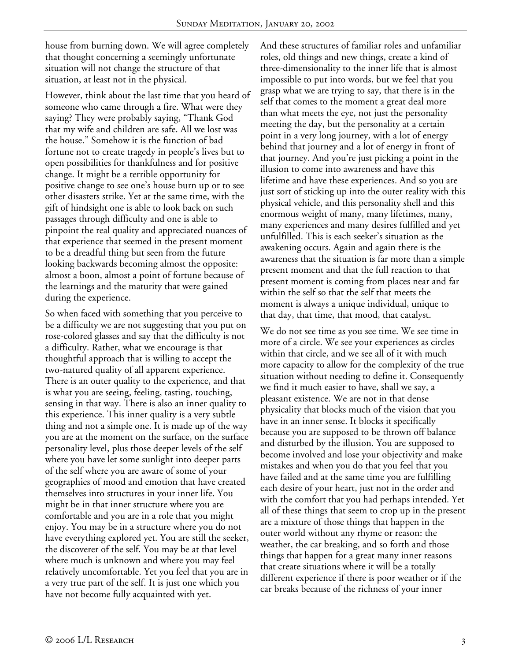house from burning down. We will agree completely that thought concerning a seemingly unfortunate situation will not change the structure of that situation, at least not in the physical.

However, think about the last time that you heard of someone who came through a fire. What were they saying? They were probably saying, "Thank God that my wife and children are safe. All we lost was the house." Somehow it is the function of bad fortune not to create tragedy in people's lives but to open possibilities for thankfulness and for positive change. It might be a terrible opportunity for positive change to see one's house burn up or to see other disasters strike. Yet at the same time, with the gift of hindsight one is able to look back on such passages through difficulty and one is able to pinpoint the real quality and appreciated nuances of that experience that seemed in the present moment to be a dreadful thing but seen from the future looking backwards becoming almost the opposite: almost a boon, almost a point of fortune because of the learnings and the maturity that were gained during the experience.

So when faced with something that you perceive to be a difficulty we are not suggesting that you put on rose-colored glasses and say that the difficulty is not a difficulty. Rather, what we encourage is that thoughtful approach that is willing to accept the two-natured quality of all apparent experience. There is an outer quality to the experience, and that is what you are seeing, feeling, tasting, touching, sensing in that way. There is also an inner quality to this experience. This inner quality is a very subtle thing and not a simple one. It is made up of the way you are at the moment on the surface, on the surface personality level, plus those deeper levels of the self where you have let some sunlight into deeper parts of the self where you are aware of some of your geographies of mood and emotion that have created themselves into structures in your inner life. You might be in that inner structure where you are comfortable and you are in a role that you might enjoy. You may be in a structure where you do not have everything explored yet. You are still the seeker, the discoverer of the self. You may be at that level where much is unknown and where you may feel relatively uncomfortable. Yet you feel that you are in a very true part of the self. It is just one which you have not become fully acquainted with yet.

And these structures of familiar roles and unfamiliar roles, old things and new things, create a kind of three-dimensionality to the inner life that is almost impossible to put into words, but we feel that you grasp what we are trying to say, that there is in the self that comes to the moment a great deal more than what meets the eye, not just the personality meeting the day, but the personality at a certain point in a very long journey, with a lot of energy behind that journey and a lot of energy in front of that journey. And you're just picking a point in the illusion to come into awareness and have this lifetime and have these experiences. And so you are just sort of sticking up into the outer reality with this physical vehicle, and this personality shell and this enormous weight of many, many lifetimes, many, many experiences and many desires fulfilled and yet unfulfilled. This is each seeker's situation as the awakening occurs. Again and again there is the awareness that the situation is far more than a simple present moment and that the full reaction to that present moment is coming from places near and far within the self so that the self that meets the moment is always a unique individual, unique to that day, that time, that mood, that catalyst.

We do not see time as you see time. We see time in more of a circle. We see your experiences as circles within that circle, and we see all of it with much more capacity to allow for the complexity of the true situation without needing to define it. Consequently we find it much easier to have, shall we say, a pleasant existence. We are not in that dense physicality that blocks much of the vision that you have in an inner sense. It blocks it specifically because you are supposed to be thrown off balance and disturbed by the illusion. You are supposed to become involved and lose your objectivity and make mistakes and when you do that you feel that you have failed and at the same time you are fulfilling each desire of your heart, just not in the order and with the comfort that you had perhaps intended. Yet all of these things that seem to crop up in the present are a mixture of those things that happen in the outer world without any rhyme or reason: the weather, the car breaking, and so forth and those things that happen for a great many inner reasons that create situations where it will be a totally different experience if there is poor weather or if the car breaks because of the richness of your inner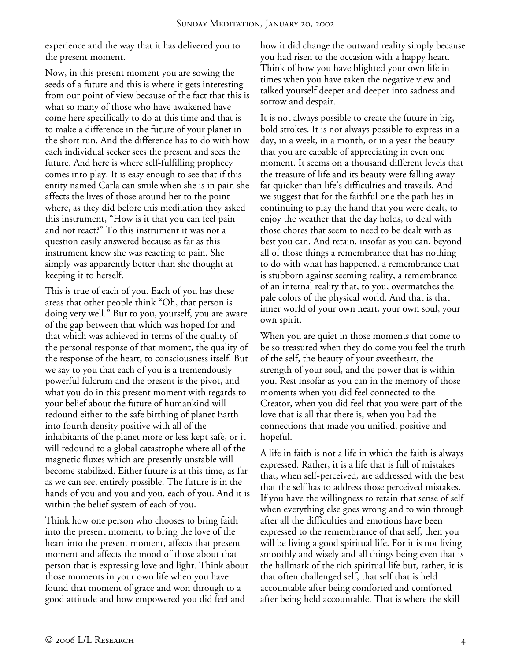experience and the way that it has delivered you to the present moment.

Now, in this present moment you are sowing the seeds of a future and this is where it gets interesting from our point of view because of the fact that this is what so many of those who have awakened have come here specifically to do at this time and that is to make a difference in the future of your planet in the short run. And the difference has to do with how each individual seeker sees the present and sees the future. And here is where self-fulfilling prophecy comes into play. It is easy enough to see that if this entity named Carla can smile when she is in pain she affects the lives of those around her to the point where, as they did before this meditation they asked this instrument, "How is it that you can feel pain and not react?" To this instrument it was not a question easily answered because as far as this instrument knew she was reacting to pain. She simply was apparently better than she thought at keeping it to herself.

This is true of each of you. Each of you has these areas that other people think "Oh, that person is doing very well." But to you, yourself, you are aware of the gap between that which was hoped for and that which was achieved in terms of the quality of the personal response of that moment, the quality of the response of the heart, to consciousness itself. But we say to you that each of you is a tremendously powerful fulcrum and the present is the pivot, and what you do in this present moment with regards to your belief about the future of humankind will redound either to the safe birthing of planet Earth into fourth density positive with all of the inhabitants of the planet more or less kept safe, or it will redound to a global catastrophe where all of the magnetic fluxes which are presently unstable will become stabilized. Either future is at this time, as far as we can see, entirely possible. The future is in the hands of you and you and you, each of you. And it is within the belief system of each of you.

Think how one person who chooses to bring faith into the present moment, to bring the love of the heart into the present moment, affects that present moment and affects the mood of those about that person that is expressing love and light. Think about those moments in your own life when you have found that moment of grace and won through to a good attitude and how empowered you did feel and

how it did change the outward reality simply because you had risen to the occasion with a happy heart. Think of how you have blighted your own life in times when you have taken the negative view and talked yourself deeper and deeper into sadness and sorrow and despair.

It is not always possible to create the future in big, bold strokes. It is not always possible to express in a day, in a week, in a month, or in a year the beauty that you are capable of appreciating in even one moment. It seems on a thousand different levels that the treasure of life and its beauty were falling away far quicker than life's difficulties and travails. And we suggest that for the faithful one the path lies in continuing to play the hand that you were dealt, to enjoy the weather that the day holds, to deal with those chores that seem to need to be dealt with as best you can. And retain, insofar as you can, beyond all of those things a remembrance that has nothing to do with what has happened, a remembrance that is stubborn against seeming reality, a remembrance of an internal reality that, to you, overmatches the pale colors of the physical world. And that is that inner world of your own heart, your own soul, your own spirit.

When you are quiet in those moments that come to be so treasured when they do come you feel the truth of the self, the beauty of your sweetheart, the strength of your soul, and the power that is within you. Rest insofar as you can in the memory of those moments when you did feel connected to the Creator, when you did feel that you were part of the love that is all that there is, when you had the connections that made you unified, positive and hopeful.

A life in faith is not a life in which the faith is always expressed. Rather, it is a life that is full of mistakes that, when self-perceived, are addressed with the best that the self has to address those perceived mistakes. If you have the willingness to retain that sense of self when everything else goes wrong and to win through after all the difficulties and emotions have been expressed to the remembrance of that self, then you will be living a good spiritual life. For it is not living smoothly and wisely and all things being even that is the hallmark of the rich spiritual life but, rather, it is that often challenged self, that self that is held accountable after being comforted and comforted after being held accountable. That is where the skill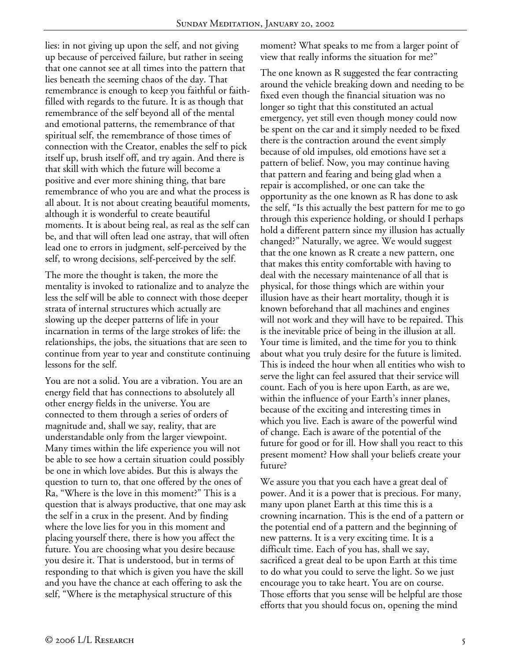lies: in not giving up upon the self, and not giving up because of perceived failure, but rather in seeing that one cannot see at all times into the pattern that lies beneath the seeming chaos of the day. That remembrance is enough to keep you faithful or faithfilled with regards to the future. It is as though that remembrance of the self beyond all of the mental and emotional patterns, the remembrance of that spiritual self, the remembrance of those times of connection with the Creator, enables the self to pick itself up, brush itself off, and try again. And there is that skill with which the future will become a positive and ever more shining thing, that bare remembrance of who you are and what the process is all about. It is not about creating beautiful moments, although it is wonderful to create beautiful moments. It is about being real, as real as the self can be, and that will often lead one astray, that will often lead one to errors in judgment, self-perceived by the self, to wrong decisions, self-perceived by the self.

The more the thought is taken, the more the mentality is invoked to rationalize and to analyze the less the self will be able to connect with those deeper strata of internal structures which actually are slowing up the deeper patterns of life in your incarnation in terms of the large strokes of life: the relationships, the jobs, the situations that are seen to continue from year to year and constitute continuing lessons for the self.

You are not a solid. You are a vibration. You are an energy field that has connections to absolutely all other energy fields in the universe. You are connected to them through a series of orders of magnitude and, shall we say, reality, that are understandable only from the larger viewpoint. Many times within the life experience you will not be able to see how a certain situation could possibly be one in which love abides. But this is always the question to turn to, that one offered by the ones of Ra, "Where is the love in this moment?" This is a question that is always productive, that one may ask the self in a crux in the present. And by finding where the love lies for you in this moment and placing yourself there, there is how you affect the future. You are choosing what you desire because you desire it. That is understood, but in terms of responding to that which is given you have the skill and you have the chance at each offering to ask the self, "Where is the metaphysical structure of this

moment? What speaks to me from a larger point of view that really informs the situation for me?"

The one known as R suggested the fear contracting around the vehicle breaking down and needing to be fixed even though the financial situation was no longer so tight that this constituted an actual emergency, yet still even though money could now be spent on the car and it simply needed to be fixed there is the contraction around the event simply because of old impulses, old emotions have set a pattern of belief. Now, you may continue having that pattern and fearing and being glad when a repair is accomplished, or one can take the opportunity as the one known as R has done to ask the self, "Is this actually the best pattern for me to go through this experience holding, or should I perhaps hold a different pattern since my illusion has actually changed?" Naturally, we agree. We would suggest that the one known as R create a new pattern, one that makes this entity comfortable with having to deal with the necessary maintenance of all that is physical, for those things which are within your illusion have as their heart mortality, though it is known beforehand that all machines and engines will not work and they will have to be repaired. This is the inevitable price of being in the illusion at all. Your time is limited, and the time for you to think about what you truly desire for the future is limited. This is indeed the hour when all entities who wish to serve the light can feel assured that their service will count. Each of you is here upon Earth, as are we, within the influence of your Earth's inner planes, because of the exciting and interesting times in which you live. Each is aware of the powerful wind of change. Each is aware of the potential of the future for good or for ill. How shall you react to this present moment? How shall your beliefs create your future?

We assure you that you each have a great deal of power. And it is a power that is precious. For many, many upon planet Earth at this time this is a crowning incarnation. This is the end of a pattern or the potential end of a pattern and the beginning of new patterns. It is a very exciting time. It is a difficult time. Each of you has, shall we say, sacrificed a great deal to be upon Earth at this time to do what you could to serve the light. So we just encourage you to take heart. You are on course. Those efforts that you sense will be helpful are those efforts that you should focus on, opening the mind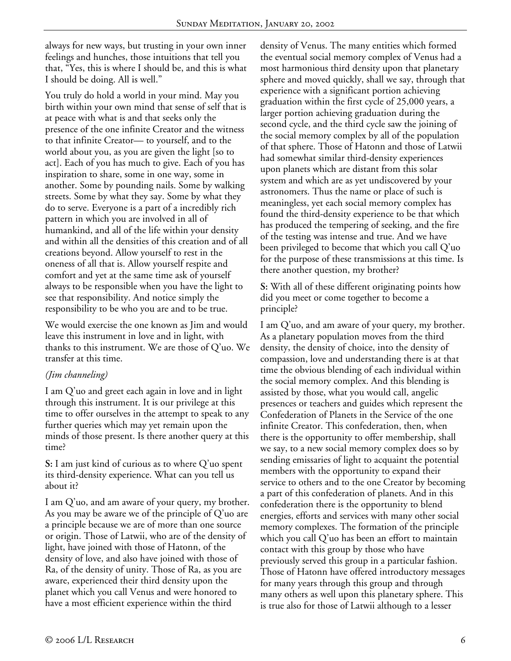always for new ways, but trusting in your own inner feelings and hunches, those intuitions that tell you that, "Yes, this is where I should be, and this is what I should be doing. All is well."

You truly do hold a world in your mind. May you birth within your own mind that sense of self that is at peace with what is and that seeks only the presence of the one infinite Creator and the witness to that infinite Creator— to yourself, and to the world about you, as you are given the light [so to act]. Each of you has much to give. Each of you has inspiration to share, some in one way, some in another. Some by pounding nails. Some by walking streets. Some by what they say. Some by what they do to serve. Everyone is a part of a incredibly rich pattern in which you are involved in all of humankind, and all of the life within your density and within all the densities of this creation and of all creations beyond. Allow yourself to rest in the oneness of all that is. Allow yourself respite and comfort and yet at the same time ask of yourself always to be responsible when you have the light to see that responsibility. And notice simply the responsibility to be who you are and to be true.

We would exercise the one known as Jim and would leave this instrument in love and in light, with thanks to this instrument. We are those of Q'uo. We transfer at this time.

## *(Jim channeling)*

I am Q'uo and greet each again in love and in light through this instrument. It is our privilege at this time to offer ourselves in the attempt to speak to any further queries which may yet remain upon the minds of those present. Is there another query at this time?

**S:** I am just kind of curious as to where Q'uo spent its third-density experience. What can you tell us about it?

I am Q'uo, and am aware of your query, my brother. As you may be aware we of the principle of Q'uo are a principle because we are of more than one source or origin. Those of Latwii, who are of the density of light, have joined with those of Hatonn, of the density of love, and also have joined with those of Ra, of the density of unity. Those of Ra, as you are aware, experienced their third density upon the planet which you call Venus and were honored to have a most efficient experience within the third

density of Venus. The many entities which formed the eventual social memory complex of Venus had a most harmonious third density upon that planetary sphere and moved quickly, shall we say, through that experience with a significant portion achieving graduation within the first cycle of 25,000 years, a larger portion achieving graduation during the second cycle, and the third cycle saw the joining of the social memory complex by all of the population of that sphere. Those of Hatonn and those of Latwii had somewhat similar third-density experiences upon planets which are distant from this solar system and which are as yet undiscovered by your astronomers. Thus the name or place of such is meaningless, yet each social memory complex has found the third-density experience to be that which has produced the tempering of seeking, and the fire of the testing was intense and true. And we have been privileged to become that which you call Q'uo for the purpose of these transmissions at this time. Is there another question, my brother?

**S:** With all of these different originating points how did you meet or come together to become a principle?

I am Q'uo, and am aware of your query, my brother. As a planetary population moves from the third density, the density of choice, into the density of compassion, love and understanding there is at that time the obvious blending of each individual within the social memory complex. And this blending is assisted by those, what you would call, angelic presences or teachers and guides which represent the Confederation of Planets in the Service of the one infinite Creator. This confederation, then, when there is the opportunity to offer membership, shall we say, to a new social memory complex does so by sending emissaries of light to acquaint the potential members with the opportunity to expand their service to others and to the one Creator by becoming a part of this confederation of planets. And in this confederation there is the opportunity to blend energies, efforts and services with many other social memory complexes. The formation of the principle which you call Q'uo has been an effort to maintain contact with this group by those who have previously served this group in a particular fashion. Those of Hatonn have offered introductory messages for many years through this group and through many others as well upon this planetary sphere. This is true also for those of Latwii although to a lesser